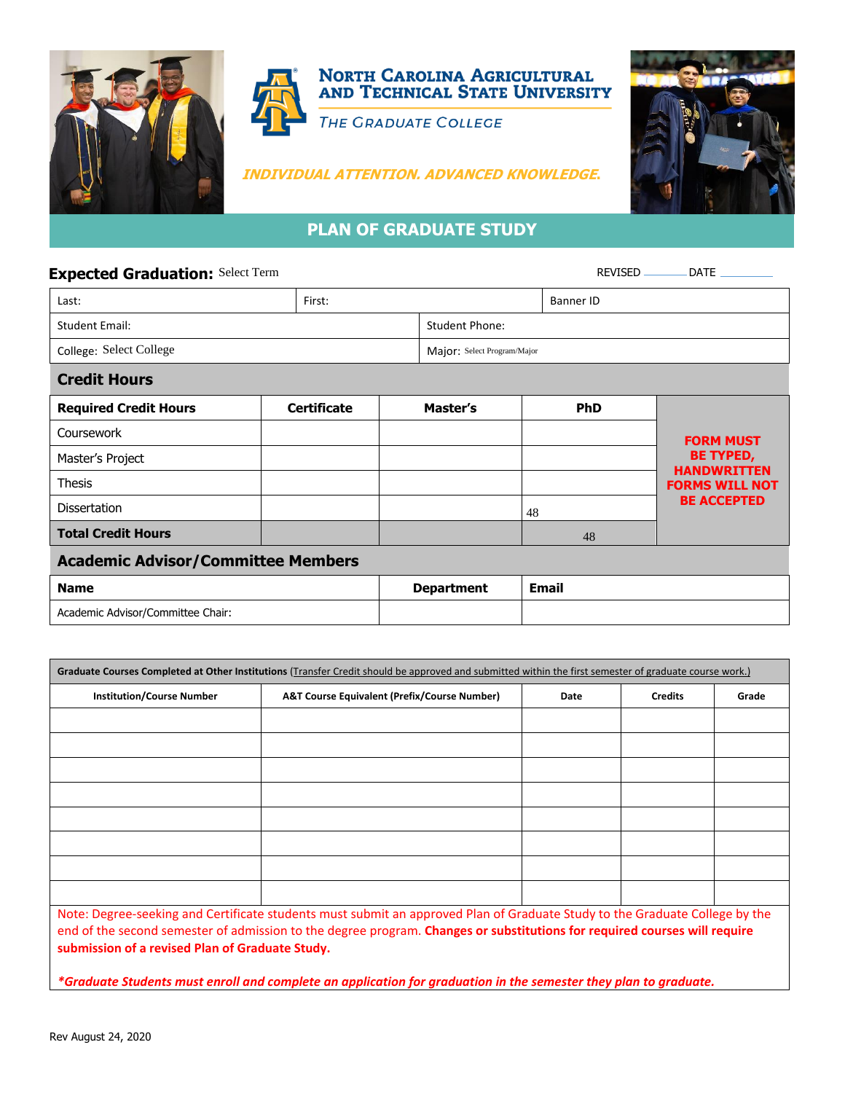





## **PLAN OF GRADUATE STUDY**

## **Expected Graduation:** Select Term **Contract Term and Service Contract Propose** REVISED **DATE**

| Last:                                     | First:                      |                   |    | <b>Banner ID</b> |                                        |  |  |  |
|-------------------------------------------|-----------------------------|-------------------|----|------------------|----------------------------------------|--|--|--|
| <b>Student Email:</b>                     | <b>Student Phone:</b>       |                   |    |                  |                                        |  |  |  |
| College: Select College                   | Major: Select Program/Major |                   |    |                  |                                        |  |  |  |
| <b>Credit Hours</b>                       |                             |                   |    |                  |                                        |  |  |  |
| <b>Required Credit Hours</b>              | <b>Certificate</b>          | Master's          |    | <b>PhD</b>       |                                        |  |  |  |
| Coursework                                |                             |                   |    |                  | <b>FORM MUST</b>                       |  |  |  |
| Master's Project                          |                             |                   |    |                  | <b>BE TYPED,</b><br><b>HANDWRITTEN</b> |  |  |  |
| <b>Thesis</b>                             |                             |                   |    |                  | <b>FORMS WILL NOT</b>                  |  |  |  |
| <b>Dissertation</b>                       |                             |                   | 48 |                  | <b>BE ACCEPTED</b>                     |  |  |  |
| <b>Total Credit Hours</b>                 |                             |                   |    | 48               |                                        |  |  |  |
| <b>Academic Advisor/Committee Members</b> |                             |                   |    |                  |                                        |  |  |  |
| <b>Name</b>                               |                             | <b>Department</b> |    | <b>Email</b>     |                                        |  |  |  |
| Academic Advisor/Committee Chair:         |                             |                   |    |                  |                                        |  |  |  |

| <b>Institution/Course Number</b>                | <b>A&amp;T Course Equivalent (Prefix/Course Number)</b>                                                                     | Date | <b>Credits</b> | Grade |
|-------------------------------------------------|-----------------------------------------------------------------------------------------------------------------------------|------|----------------|-------|
|                                                 |                                                                                                                             |      |                |       |
|                                                 |                                                                                                                             |      |                |       |
|                                                 |                                                                                                                             |      |                |       |
|                                                 |                                                                                                                             |      |                |       |
|                                                 |                                                                                                                             |      |                |       |
|                                                 |                                                                                                                             |      |                |       |
|                                                 |                                                                                                                             |      |                |       |
|                                                 |                                                                                                                             |      |                |       |
|                                                 |                                                                                                                             |      |                |       |
|                                                 | Note: Degree-seeking and Certificate students must submit an approved Plan of Graduate Study to the Graduate College by the |      |                |       |
|                                                 | end of the second semester of admission to the degree program. Changes or substitutions for required courses will require   |      |                |       |
| submission of a revised Plan of Graduate Study. |                                                                                                                             |      |                |       |

*\*Graduate Students must enroll and complete an application for graduation in the semester they plan to graduate.*